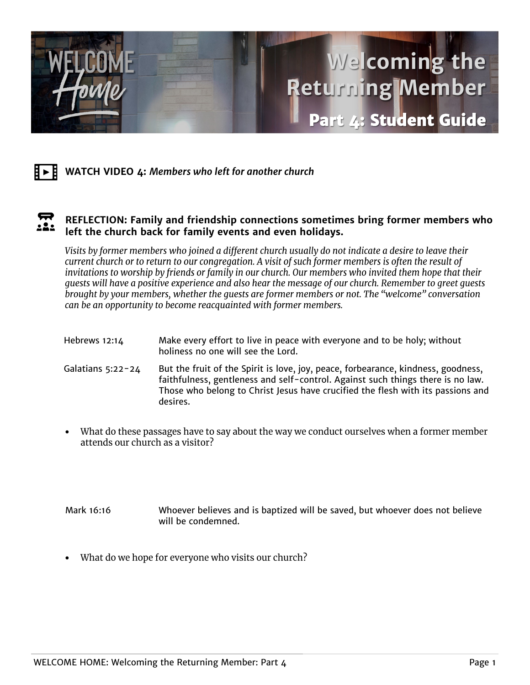



## **REFLECTION: Family and friendship connections sometimes bring former members who**   $22.$ **left the church back for family events and even holidays.**

Visits by former members who joined a different church usually do not indicate a desire to leave their current church or to return to our congregation. A visit of such former members is often the result of invitations to worship by friends or family in our church. Our members who invited them hope that their quests will have a positive experience and also hear the message of our church. Remember to greet quests brought by your members, whether the quests are former members or not. The "welcome" conversation can be an opportunity to become reacquainted with former members.

| Hebrews 12:14     | Make every effort to live in peace with everyone and to be holy; without<br>holiness no one will see the Lord.                                                                                                                                          |
|-------------------|---------------------------------------------------------------------------------------------------------------------------------------------------------------------------------------------------------------------------------------------------------|
| Galatians 5:22-24 | But the fruit of the Spirit is love, joy, peace, forbearance, kindness, goodness,<br>faithfulness, gentleness and self-control. Against such things there is no law.<br>Those who belong to Christ Jesus have crucified the flesh with its passions and |

- What do these passages have to say about the way we conduct ourselves when a former member attends our church as a visitor?
- Mark 16:16 Whoever believes and is baptized will be saved, but whoever does not believe will be condemned.
- What do we hope for everyone who visits our church?

desires.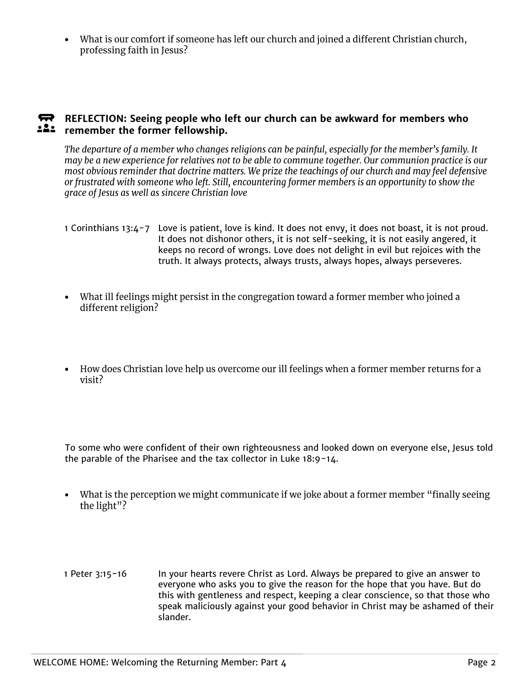What is our comfort if someone has left our church and joined a different Christian church, • professing faith in Jesus?

## **REFLECTION:** Seeing people who left our church can be awkward for members who **remember the former fellowship.**

The departure of a member who changes religions can be painful, especially for the member's family. It may be a new experience for relatives not to be able to commune together. Our communion practice is our most obvious reminder that doctrine matters. We prize the teachings of our church and may feel defensive or frustrated with someone who left. Still, encountering former members is an opportunity to show the grace of Jesus as well as sincere Christian love

- 1 Corinthians 13:4-7 Love is patient, love is kind. It does not envy, it does not boast, it is not proud. It does not dishonor others, it is not self-seeking, it is not easily angered, it keeps no record of wrongs. Love does not delight in evil but rejoices with the truth. It always protects, always trusts, always hopes, always perseveres.
- What ill feelings might persist in the congregation toward a former member who joined a different religion?
- How does Christian love help us overcome our ill feelings when a former member returns for a visit?

To some who were confident of their own righteousness and looked down on everyone else, Jesus told the parable of the Pharisee and the tax collector in Luke 18:9-14.

- What is the perception we might communicate if we joke about a former member "finally seeing" the light"?
- 1 Peter 3:15-16 In your hearts revere Christ as Lord. Always be prepared to give an answer to everyone who asks you to give the reason for the hope that you have. But do this with gentleness and respect, keeping a clear conscience, so that those who speak maliciously against your good behavior in Christ may be ashamed of their slander.